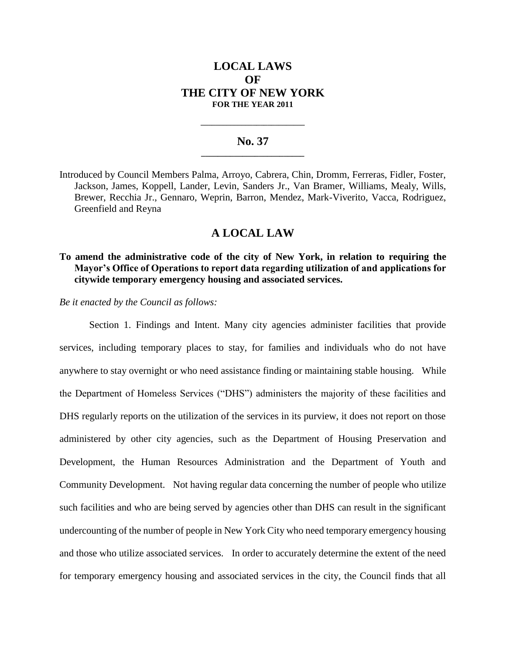# **LOCAL LAWS OF THE CITY OF NEW YORK FOR THE YEAR 2011**

### **No. 37 \_\_\_\_\_\_\_\_\_\_\_\_\_\_\_\_\_\_\_\_\_\_\_\_\_**

**\_\_\_\_\_\_\_\_\_\_\_\_\_\_\_\_\_\_\_\_\_\_\_\_\_\_\_\_**

Introduced by Council Members Palma, Arroyo, Cabrera, Chin, Dromm, Ferreras, Fidler, Foster, Jackson, James, Koppell, Lander, Levin, Sanders Jr., Van Bramer, Williams, Mealy, Wills, Brewer, Recchia Jr., Gennaro, Weprin, Barron, Mendez, Mark-Viverito, Vacca, Rodriguez, Greenfield and Reyna

## **A LOCAL LAW**

## **To amend the administrative code of the city of New York, in relation to requiring the Mayor's Office of Operations to report data regarding utilization of and applications for citywide temporary emergency housing and associated services.**

*Be it enacted by the Council as follows:* 

Section 1. Findings and Intent. Many city agencies administer facilities that provide services, including temporary places to stay, for families and individuals who do not have anywhere to stay overnight or who need assistance finding or maintaining stable housing. While the Department of Homeless Services ("DHS") administers the majority of these facilities and DHS regularly reports on the utilization of the services in its purview, it does not report on those administered by other city agencies, such as the Department of Housing Preservation and Development, the Human Resources Administration and the Department of Youth and Community Development. Not having regular data concerning the number of people who utilize such facilities and who are being served by agencies other than DHS can result in the significant undercounting of the number of people in New York City who need temporary emergency housing and those who utilize associated services. In order to accurately determine the extent of the need for temporary emergency housing and associated services in the city, the Council finds that all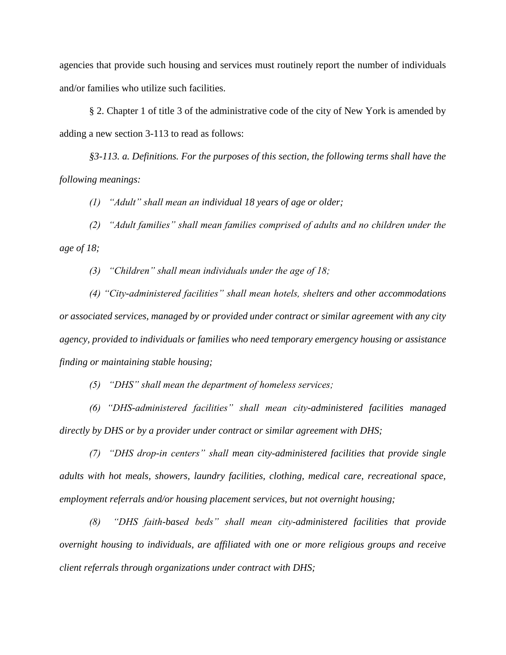agencies that provide such housing and services must routinely report the number of individuals and/or families who utilize such facilities.

§ 2. Chapter 1 of title 3 of the administrative code of the city of New York is amended by adding a new section 3-113 to read as follows:

*§3-113. a. Definitions. For the purposes of this section, the following terms shall have the following meanings:* 

*(1) "Adult" shall mean an individual 18 years of age or older;*

*(2) "Adult families" shall mean families comprised of adults and no children under the age of 18;*

*(3) "Children" shall mean individuals under the age of 18;*

*(4) "City-administered facilities" shall mean hotels, shelters and other accommodations or associated services, managed by or provided under contract or similar agreement with any city agency, provided to individuals or families who need temporary emergency housing or assistance finding or maintaining stable housing;*

*(5) "DHS" shall mean the department of homeless services;*

*(6) "DHS-administered facilities" shall mean city-administered facilities managed directly by DHS or by a provider under contract or similar agreement with DHS;*

*(7) "DHS drop-in centers" shall mean city-administered facilities that provide single adults with hot meals, showers, laundry facilities, clothing, medical care, recreational space, employment referrals and/or housing placement services, but not overnight housing;* 

*(8) "DHS faith-based beds" shall mean city-administered facilities that provide overnight housing to individuals, are affiliated with one or more religious groups and receive client referrals through organizations under contract with DHS;*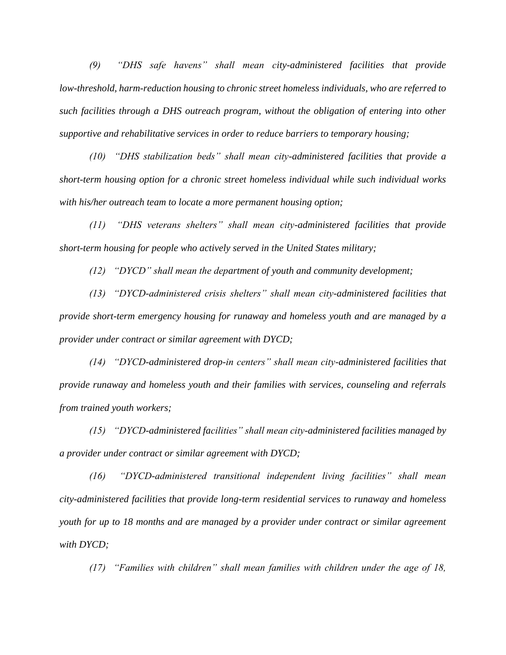*(9) "DHS safe havens" shall mean city-administered facilities that provide low-threshold, harm-reduction housing to chronic street homeless individuals, who are referred to such facilities through a DHS outreach program, without the obligation of entering into other supportive and rehabilitative services in order to reduce barriers to temporary housing;*

*(10) "DHS stabilization beds" shall mean city-administered facilities that provide a short-term housing option for a chronic street homeless individual while such individual works with his/her outreach team to locate a more permanent housing option;*

*(11) "DHS veterans shelters" shall mean city-administered facilities that provide short-term housing for people who actively served in the United States military;*

*(12) "DYCD" shall mean the department of youth and community development;*

*(13) "DYCD-administered crisis shelters" shall mean city-administered facilities that provide short-term emergency housing for runaway and homeless youth and are managed by a provider under contract or similar agreement with DYCD;*

*(14) "DYCD-administered drop-in centers" shall mean city-administered facilities that provide runaway and homeless youth and their families with services, counseling and referrals from trained youth workers;*

*(15) "DYCD-administered facilities" shall mean city-administered facilities managed by a provider under contract or similar agreement with DYCD;*

*(16) "DYCD-administered transitional independent living facilities" shall mean city-administered facilities that provide long-term residential services to runaway and homeless youth for up to 18 months and are managed by a provider under contract or similar agreement with DYCD;*

*(17) "Families with children" shall mean families with children under the age of 18,*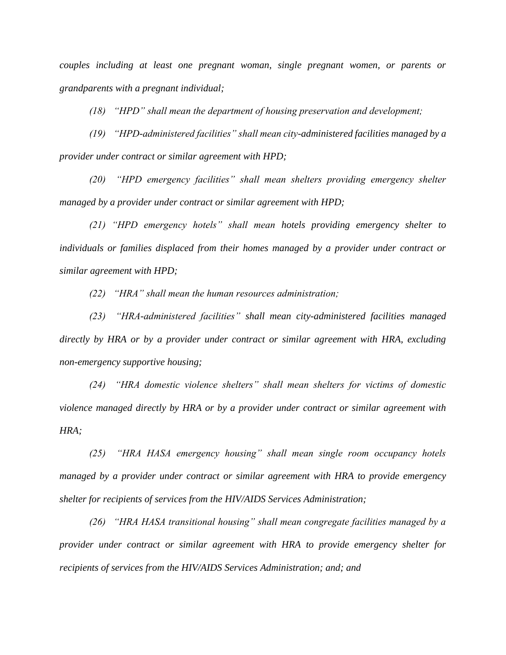*couples including at least one pregnant woman, single pregnant women, or parents or grandparents with a pregnant individual;* 

*(18) "HPD" shall mean the department of housing preservation and development;*

*(19) "HPD-administered facilities" shall mean city-administered facilities managed by a provider under contract or similar agreement with HPD;*

*(20) "HPD emergency facilities" shall mean shelters providing emergency shelter managed by a provider under contract or similar agreement with HPD;*

*(21) "HPD emergency hotels" shall mean hotels providing emergency shelter to individuals or families displaced from their homes managed by a provider under contract or similar agreement with HPD;*

*(22) "HRA" shall mean the human resources administration;*

*(23) "HRA-administered facilities" shall mean city-administered facilities managed directly by HRA or by a provider under contract or similar agreement with HRA, excluding non-emergency supportive housing;*

*(24) "HRA domestic violence shelters" shall mean shelters for victims of domestic violence managed directly by HRA or by a provider under contract or similar agreement with HRA;*

*(25) "HRA HASA emergency housing" shall mean single room occupancy hotels managed by a provider under contract or similar agreement with HRA to provide emergency shelter for recipients of services from the HIV/AIDS Services Administration;*

*(26) "HRA HASA transitional housing" shall mean congregate facilities managed by a provider under contract or similar agreement with HRA to provide emergency shelter for recipients of services from the HIV/AIDS Services Administration; and; and*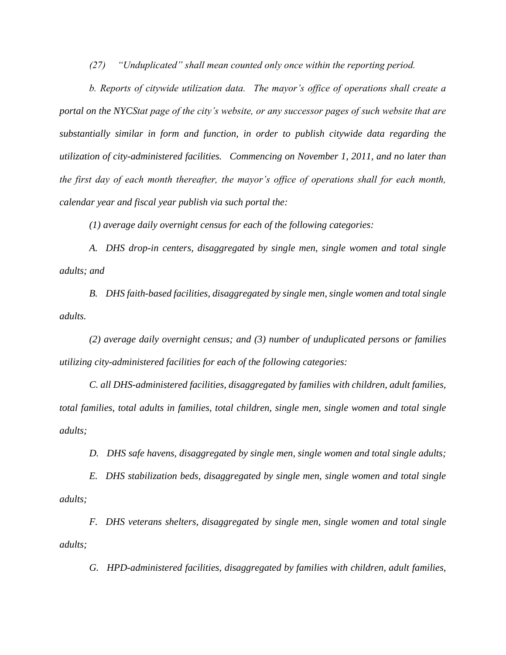*(27) "Unduplicated" shall mean counted only once within the reporting period.*

*b. Reports of citywide utilization data. The mayor's office of operations shall create a portal on the NYCStat page of the city's website, or any successor pages of such website that are substantially similar in form and function, in order to publish citywide data regarding the utilization of city-administered facilities. Commencing on November 1, 2011, and no later than the first day of each month thereafter, the mayor's office of operations shall for each month, calendar year and fiscal year publish via such portal the:* 

*(1) average daily overnight census for each of the following categories:* 

*A. DHS drop-in centers, disaggregated by single men, single women and total single adults; and*

*B. DHS faith-based facilities, disaggregated by single men, single women and total single adults.*

*(2) average daily overnight census; and (3) number of unduplicated persons or families utilizing city-administered facilities for each of the following categories:* 

*C. all DHS-administered facilities, disaggregated by families with children, adult families, total families, total adults in families, total children, single men, single women and total single adults;*

*D. DHS safe havens, disaggregated by single men, single women and total single adults;*

*E. DHS stabilization beds, disaggregated by single men, single women and total single adults;*

*F. DHS veterans shelters, disaggregated by single men, single women and total single adults;*

*G. HPD-administered facilities, disaggregated by families with children, adult families,*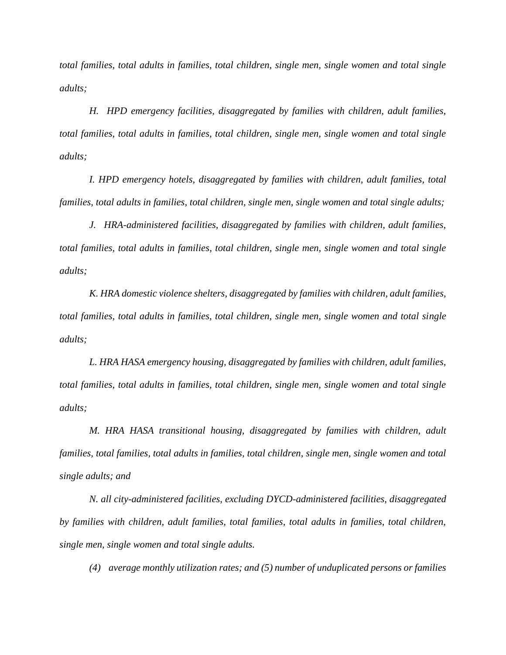*total families, total adults in families, total children, single men, single women and total single adults;*

*H. HPD emergency facilities, disaggregated by families with children, adult families, total families, total adults in families, total children, single men, single women and total single adults;*

*I. HPD emergency hotels, disaggregated by families with children, adult families, total families, total adults in families, total children, single men, single women and total single adults;*

*J. HRA-administered facilities, disaggregated by families with children, adult families, total families, total adults in families, total children, single men, single women and total single adults;*

*K. HRA domestic violence shelters, disaggregated by families with children, adult families, total families, total adults in families, total children, single men, single women and total single adults;*

*L. HRA HASA emergency housing, disaggregated by families with children, adult families, total families, total adults in families, total children, single men, single women and total single adults;*

*M. HRA HASA transitional housing, disaggregated by families with children, adult families, total families, total adults in families, total children, single men, single women and total single adults; and*

*N. all city-administered facilities, excluding DYCD-administered facilities, disaggregated by families with children, adult families, total families, total adults in families, total children, single men, single women and total single adults.*

*(4) average monthly utilization rates; and (5) number of unduplicated persons or families*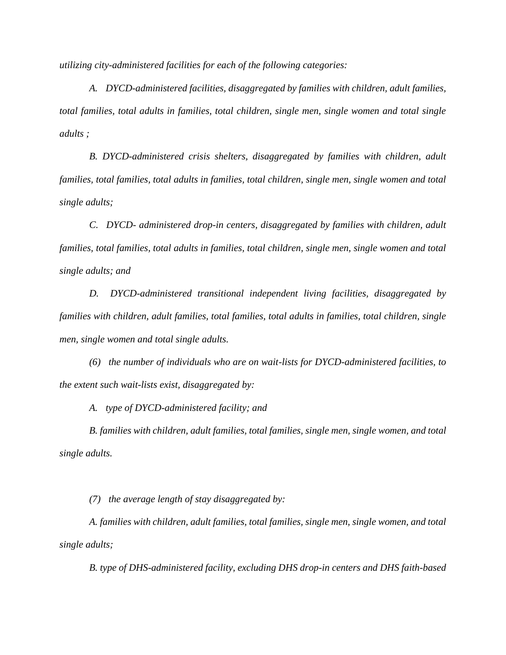*utilizing city-administered facilities for each of the following categories:*

*A. DYCD-administered facilities, disaggregated by families with children, adult families, total families, total adults in families, total children, single men, single women and total single adults ;*

*B. DYCD-administered crisis shelters, disaggregated by families with children, adult families, total families, total adults in families, total children, single men, single women and total single adults;*

*C. DYCD- administered drop-in centers, disaggregated by families with children, adult families, total families, total adults in families, total children, single men, single women and total single adults; and*

*D. DYCD-administered transitional independent living facilities, disaggregated by families with children, adult families, total families, total adults in families, total children, single men, single women and total single adults.*

*(6) the number of individuals who are on wait-lists for DYCD-administered facilities, to the extent such wait-lists exist, disaggregated by:* 

*A. type of DYCD-administered facility; and*

*B. families with children, adult families, total families, single men, single women, and total single adults.* 

*(7) the average length of stay disaggregated by:* 

*A. families with children, adult families, total families, single men, single women, and total single adults;* 

*B. type of DHS-administered facility, excluding DHS drop-in centers and DHS faith-based*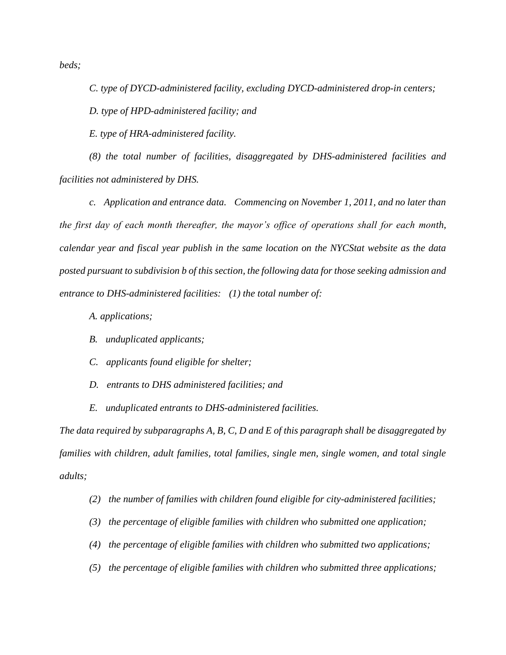*beds;* 

*C. type of DYCD-administered facility, excluding DYCD-administered drop-in centers;* 

*D. type of HPD-administered facility; and*

*E. type of HRA-administered facility.*

*(8) the total number of facilities, disaggregated by DHS-administered facilities and facilities not administered by DHS.* 

*c. Application and entrance data. Commencing on November 1, 2011, and no later than the first day of each month thereafter, the mayor's office of operations shall for each month, calendar year and fiscal year publish in the same location on the NYCStat website as the data posted pursuant to subdivision b of this section, the following data for those seeking admission and entrance to DHS-administered facilities: (1) the total number of:*

*A. applications;*

- *B. unduplicated applicants;*
- *C. applicants found eligible for shelter;*
- *D. entrants to DHS administered facilities; and*
- *E. unduplicated entrants to DHS-administered facilities.*

*The data required by subparagraphs A, B, C, D and E of this paragraph shall be disaggregated by families with children, adult families, total families, single men, single women, and total single adults;* 

- *(2) the number of families with children found eligible for city-administered facilities;*
- *(3) the percentage of eligible families with children who submitted one application;*
- *(4) the percentage of eligible families with children who submitted two applications;*
- *(5) the percentage of eligible families with children who submitted three applications;*